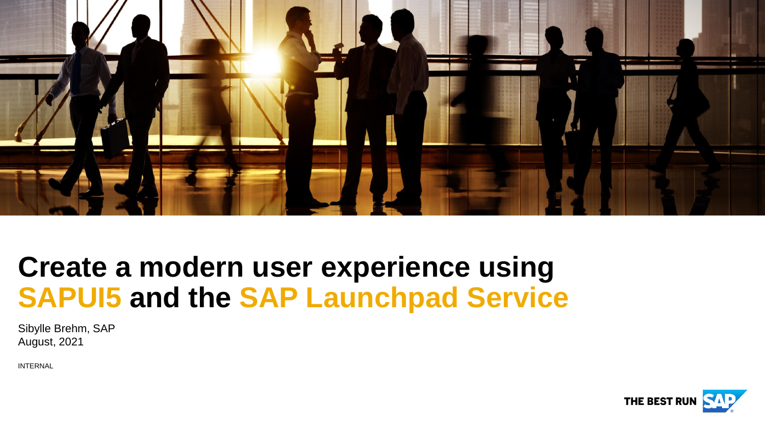

# **Create a modern user experience using SAPUI5 and the SAP Launchpad Service**

Sibylle Brehm, SAP August, 2021

INTERNAL

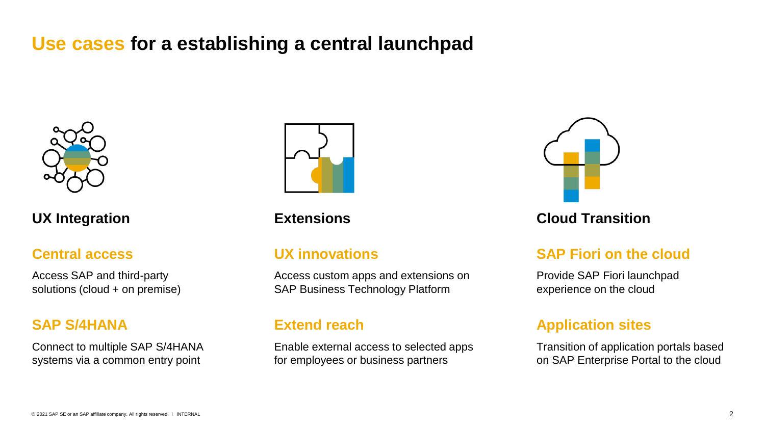# **Use cases for a establishing a central launchpad**



### **Central access**

Access SAP and third-party solutions (cloud + on premise)

#### **SAP S/4HANA**

Connect to multiple SAP S/4HANA systems via a common entry point



### **UX innovations**

Access custom apps and extensions on SAP Business Technology Platform

### **Extend reach**

Enable external access to selected apps for employees or business partners



### **UX Integration Extensions Cloud Transition**

### **SAP Fiori on the cloud**

Provide SAP Fiori launchpad experience on the cloud

### **Application sites**

Transition of application portals based on SAP Enterprise Portal to the cloud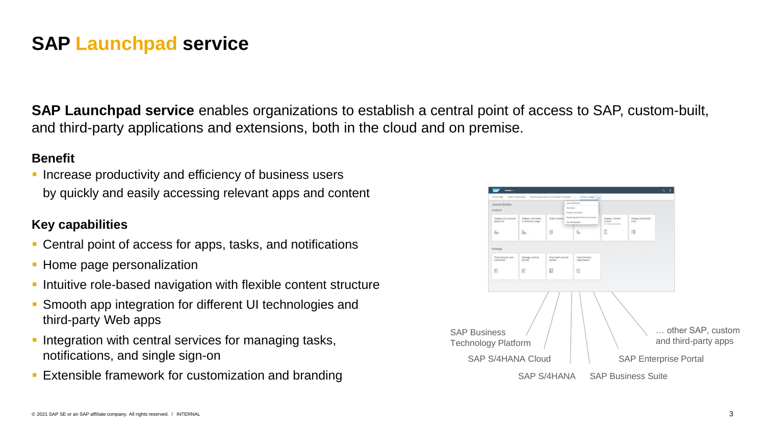## **SAP Launchpad service**

**SAP Launchpad service** enables organizations to establish a central point of access to SAP, custom-built, and third-party applications and extensions, both in the cloud and on premise.

#### **Benefit**

**• Increase productivity and efficiency of business users** by quickly and easily accessing relevant apps and content

### **Key capabilities**

- Central point of access for apps, tasks, and notifications
- Home page personalization
- **.** Intuitive role-based navigation with flexible content structure
- **Smooth app integration for different UI technologies and** third-party Web apps
- **Integration with central services for managing tasks,** notifications, and single sign-on
- **Extensible framework for customization and branding**

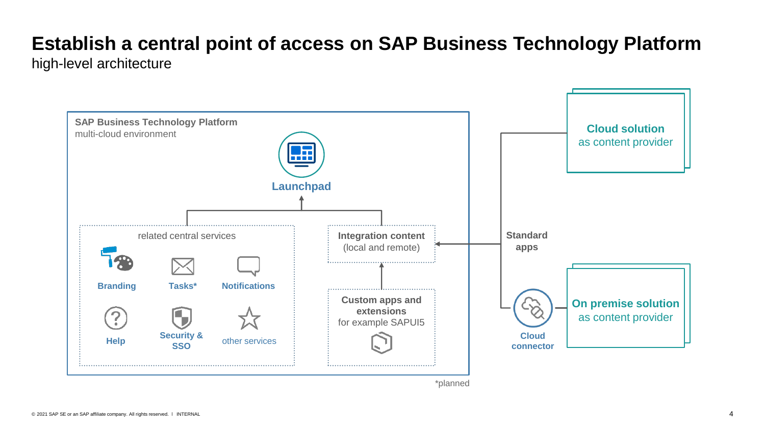# **Establish a central point of access on SAP Business Technology Platform**

high-level architecture

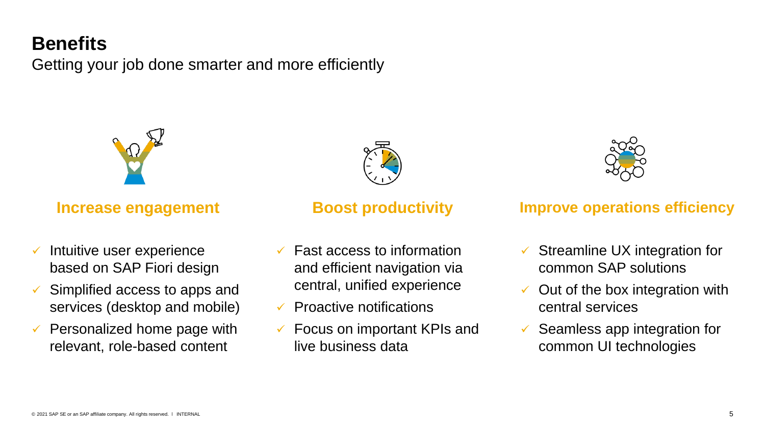# **Benefits**

Getting your job done smarter and more efficiently



- Intuitive user experience based on SAP Fiori design
- Simplified access to apps and services (desktop and mobile)
- Personalized home page with relevant, role-based content



- ✓ Fast access to information and efficient navigation via central, unified experience
- **Proactive notifications**
- ✓ Focus on important KPIs and live business data



### **Increase engagement 6 and Boost productivity 6 and 1 and 1 mprove operations efficiency**

- Streamline UX integration for common SAP solutions
- Out of the box integration with central services
- Seamless app integration for common UI technologies